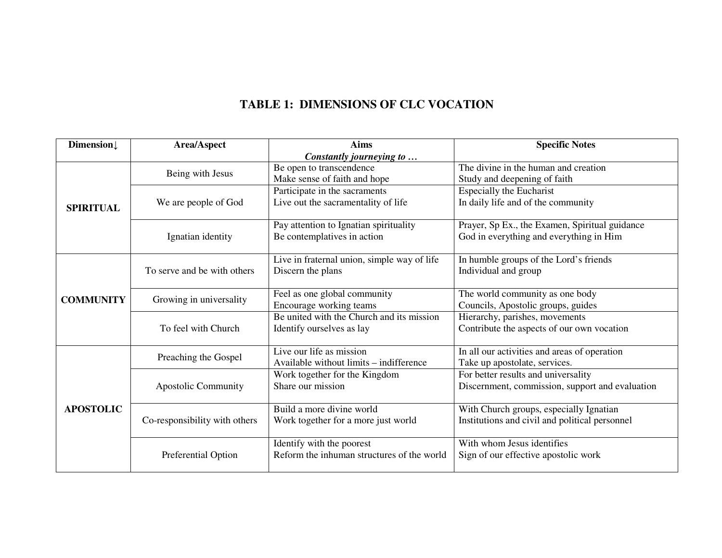# **TABLE 1: DIMENSIONS OF CLC VOCATION**

| Dimension↓       | Area/Aspect                   | <b>Aims</b>                                 | <b>Specific Notes</b>                                                                     |  |  |
|------------------|-------------------------------|---------------------------------------------|-------------------------------------------------------------------------------------------|--|--|
|                  | Constantly journeying to      |                                             |                                                                                           |  |  |
|                  | Being with Jesus              | Be open to transcendence                    | The divine in the human and creation                                                      |  |  |
|                  |                               | Make sense of faith and hope                | Study and deepening of faith                                                              |  |  |
|                  |                               | Participate in the sacraments               | <b>Especially the Eucharist</b>                                                           |  |  |
| <b>SPIRITUAL</b> | We are people of God          | Live out the sacramentality of life         | In daily life and of the community                                                        |  |  |
|                  |                               |                                             |                                                                                           |  |  |
|                  |                               | Pay attention to Ignatian spirituality      | Prayer, Sp Ex., the Examen, Spiritual guidance                                            |  |  |
|                  | Ignatian identity             | Be contemplatives in action                 | God in everything and everything in Him                                                   |  |  |
|                  |                               |                                             |                                                                                           |  |  |
|                  | To serve and be with others   | Live in fraternal union, simple way of life | In humble groups of the Lord's friends                                                    |  |  |
|                  |                               | Discern the plans                           | Individual and group                                                                      |  |  |
|                  |                               |                                             |                                                                                           |  |  |
| <b>COMMUNITY</b> | Growing in universality       | Feel as one global community                | The world community as one body                                                           |  |  |
|                  |                               | Encourage working teams                     | Councils, Apostolic groups, guides                                                        |  |  |
|                  | To feel with Church           | Be united with the Church and its mission   | Hierarchy, parishes, movements                                                            |  |  |
|                  |                               | Identify ourselves as lay                   | Contribute the aspects of our own vocation                                                |  |  |
|                  |                               |                                             |                                                                                           |  |  |
|                  | Preaching the Gospel          | Live our life as mission                    | In all our activities and areas of operation                                              |  |  |
| <b>APOSTOLIC</b> |                               | Available without limits - indifference     | Take up apostolate, services.                                                             |  |  |
|                  | <b>Apostolic Community</b>    | Work together for the Kingdom               | For better results and universality                                                       |  |  |
|                  |                               | Share our mission                           | Discernment, commission, support and evaluation                                           |  |  |
|                  |                               | Build a more divine world                   |                                                                                           |  |  |
|                  | Co-responsibility with others |                                             | With Church groups, especially Ignatian<br>Institutions and civil and political personnel |  |  |
|                  |                               | Work together for a more just world         |                                                                                           |  |  |
|                  |                               | Identify with the poorest                   | With whom Jesus identifies                                                                |  |  |
|                  | Preferential Option           | Reform the inhuman structures of the world  | Sign of our effective apostolic work                                                      |  |  |
|                  |                               |                                             |                                                                                           |  |  |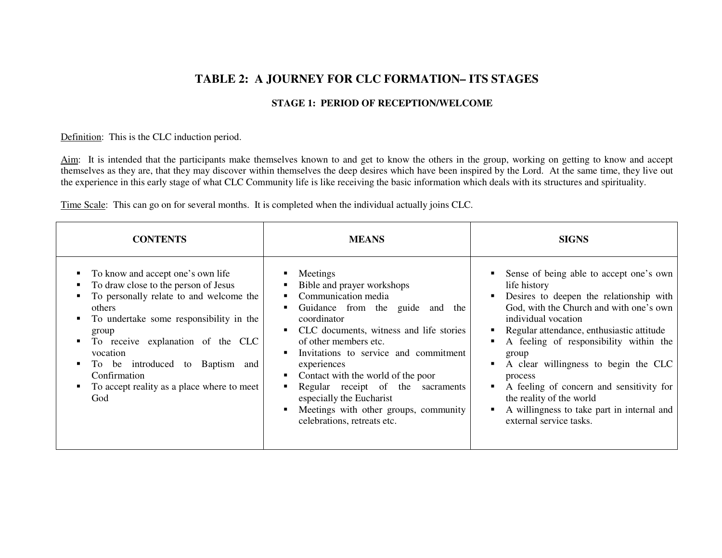# **TABLE 2: A JOURNEY FOR CLC FORMATION– ITS STAGES**

### **STAGE 1: PERIOD OF RECEPTION/WELCOME**

#### Definition: This is the CLC induction period.

Aim: It is intended that the participants make themselves known to and get to know the others in the group, working on getting to know and accept themselves as they are, that they may discover within themselves the deep desires which have been inspired by the Lord. At the same time, they live out the experience in this early stage of what CLC Community life is like receiving the basic information which deals with its structures and spirituality.

Time Scale: This can go on for several months. It is completed when the individual actually joins CLC.

| <b>CONTENTS</b>                                                                                                                                                                                                                                                                                                                                       | <b>MEANS</b>                                                                                                                                                                                                                                                                                                                                                                                                                                                            | <b>SIGNS</b>                                                                                                                                                                                                                                                                                                                                                                                                                                                                       |  |
|-------------------------------------------------------------------------------------------------------------------------------------------------------------------------------------------------------------------------------------------------------------------------------------------------------------------------------------------------------|-------------------------------------------------------------------------------------------------------------------------------------------------------------------------------------------------------------------------------------------------------------------------------------------------------------------------------------------------------------------------------------------------------------------------------------------------------------------------|------------------------------------------------------------------------------------------------------------------------------------------------------------------------------------------------------------------------------------------------------------------------------------------------------------------------------------------------------------------------------------------------------------------------------------------------------------------------------------|--|
| • To know and accept one's own life<br>To draw close to the person of Jesus<br>To personally relate to and welcome the<br>others<br>To undertake some responsibility in the<br>п.<br>group<br>To receive explanation of the CLC<br>vocation<br>To be introduced to Baptism and<br>Confirmation<br>• To accept reality as a place where to meet<br>God | Meetings<br>п.<br>Bible and prayer workshops<br>п.<br>Communication media<br>$\blacksquare$<br>Guidance from the guide and<br>the<br>coordinator<br>• CLC documents, witness and life stories<br>of other members etc.<br>Invitations to service and commitment<br>٠<br>experiences<br>Contact with the world of the poor<br>Regular receipt of the sacraments<br>٠<br>especially the Eucharist<br>Meetings with other groups, community<br>celebrations, retreats etc. | Sense of being able to accept one's own<br>life history<br>Desires to deepen the relationship with<br>٠<br>God, with the Church and with one's own<br>individual vocation<br>Regular attendance, enthusiastic attitude<br>A feeling of responsibility within the<br>group<br>A clear willingness to begin the CLC<br>process<br>A feeling of concern and sensitivity for<br>٠<br>the reality of the world<br>A willingness to take part in internal and<br>external service tasks. |  |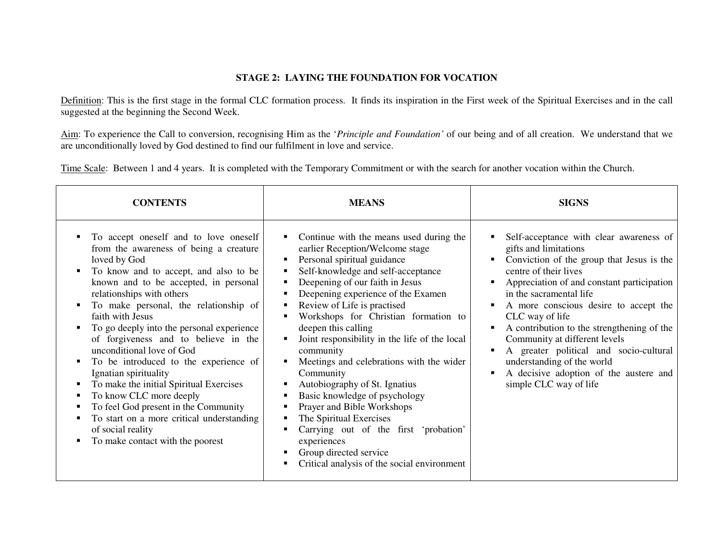### **STAGE 2: LAYING THE FOUNDATION FOR VOCATION**

Definition: This is the first stage in the formal CLC formation process. It finds its inspiration in the First week of the Spiritual Exercises and in the call suggested at the beginning the Second Week.

Aim: To experience the Call to conversion, recognising Him as the '*Principle and Foundation'* of our being and of all creation. We understand that we are unconditionally loved by God destined to find our fulfilment in love and service.

Time Scale: Between 1 and 4 years. It is completed with the Temporary Commitment or with the search for another vocation within the Church.

| <b>CONTENTS</b>                                                                                                                                                                                                                                                                                                                                                                                                                                                                                                                                                                                                                                                                                    | <b>MEANS</b>                                                                                                                                                                                                                                                                                                                                                                                                                                                                                                                                                                                                                                                                                                                                                               | <b>SIGNS</b>                                                                                                                                                                                                                                                                                                                                                                                                                                                                                                |
|----------------------------------------------------------------------------------------------------------------------------------------------------------------------------------------------------------------------------------------------------------------------------------------------------------------------------------------------------------------------------------------------------------------------------------------------------------------------------------------------------------------------------------------------------------------------------------------------------------------------------------------------------------------------------------------------------|----------------------------------------------------------------------------------------------------------------------------------------------------------------------------------------------------------------------------------------------------------------------------------------------------------------------------------------------------------------------------------------------------------------------------------------------------------------------------------------------------------------------------------------------------------------------------------------------------------------------------------------------------------------------------------------------------------------------------------------------------------------------------|-------------------------------------------------------------------------------------------------------------------------------------------------------------------------------------------------------------------------------------------------------------------------------------------------------------------------------------------------------------------------------------------------------------------------------------------------------------------------------------------------------------|
| To accept oneself and to love oneself<br>from the awareness of being a creature<br>loved by God<br>To know and to accept, and also to be<br>п<br>known and to be accepted, in personal<br>relationships with others<br>To make personal, the relationship of<br>faith with Jesus<br>To go deeply into the personal experience<br>of forgiveness and to believe in the<br>unconditional love of God<br>To be introduced to the experience of<br>п<br>Ignatian spirituality<br>To make the initial Spiritual Exercises<br>To know CLC more deeply<br>To feel God present in the Community<br>п<br>To start on a more critical understanding<br>of social reality<br>To make contact with the poorest | Continue with the means used during the<br>٠<br>earlier Reception/Welcome stage<br>Personal spiritual guidance<br>٠<br>Self-knowledge and self-acceptance<br>٠<br>Deepening of our faith in Jesus<br>٠<br>Deepening experience of the Examen<br>٠<br>Review of Life is practised<br>٠<br>Workshops for Christian formation to<br>deepen this calling<br>Joint responsibility in the life of the local<br>community<br>Meetings and celebrations with the wider<br>٠<br>Community<br>Autobiography of St. Ignatius<br>٠<br>Basic knowledge of psychology<br>п<br>Prayer and Bible Workshops<br>п<br>The Spiritual Exercises<br>٠<br>Carrying out of the first 'probation'<br>٠<br>experiences<br>Group directed service<br>Critical analysis of the social environment<br>٠ | Self-acceptance with clear awareness of<br>gifts and limitations<br>Conviction of the group that Jesus is the<br>centre of their lives<br>Appreciation of and constant participation<br>in the sacramental life<br>A more conscious desire to accept the<br>CLC way of life<br>A contribution to the strengthening of the<br>Community at different levels<br>A greater political and socio-cultural<br>٠<br>understanding of the world<br>A decisive adoption of the austere and<br>simple CLC way of life |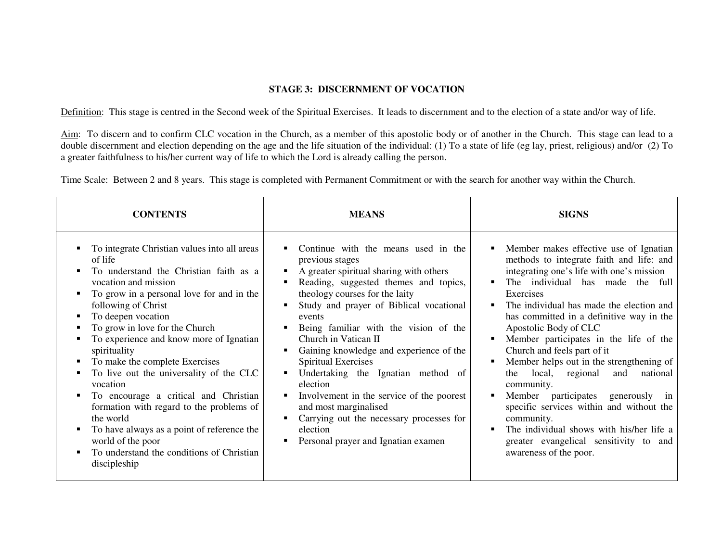### **STAGE 3: DISCERNMENT OF VOCATION**

Definition: This stage is centred in the Second week of the Spiritual Exercises. It leads to discernment and to the election of a state and/or way of life.

Aim: To discern and to confirm CLC vocation in the Church, as a member of this apostolic body or of another in the Church. This stage can lead to a double discernment and election depending on the age and the life situation of the individual: (1) To a state of life (eg lay, priest, religious) and/or (2) To a greater faithfulness to his/her current way of life to which the Lord is already calling the person.

Time Scale: Between 2 and 8 years. This stage is completed with Permanent Commitment or with the search for another way within the Church.

| <b>CONTENTS</b>                                                                                                                                                                                                                                                                                                                                                                                                                                                                                                                                                                                                                                            | <b>MEANS</b>                                                                                                                                                                                                                                                                                                                                                                                                                                                                                                                                                                                                    | <b>SIGNS</b>                                                                                                                                                                                                                                                                                                                                                                                                                                                                                                                                                                                                                                                                                                                                                   |
|------------------------------------------------------------------------------------------------------------------------------------------------------------------------------------------------------------------------------------------------------------------------------------------------------------------------------------------------------------------------------------------------------------------------------------------------------------------------------------------------------------------------------------------------------------------------------------------------------------------------------------------------------------|-----------------------------------------------------------------------------------------------------------------------------------------------------------------------------------------------------------------------------------------------------------------------------------------------------------------------------------------------------------------------------------------------------------------------------------------------------------------------------------------------------------------------------------------------------------------------------------------------------------------|----------------------------------------------------------------------------------------------------------------------------------------------------------------------------------------------------------------------------------------------------------------------------------------------------------------------------------------------------------------------------------------------------------------------------------------------------------------------------------------------------------------------------------------------------------------------------------------------------------------------------------------------------------------------------------------------------------------------------------------------------------------|
| To integrate Christian values into all areas<br>٠<br>of life<br>To understand the Christian faith as a<br>vocation and mission<br>To grow in a personal love for and in the<br>following of Christ<br>To deepen vocation<br>To grow in love for the Church<br>To experience and know more of Ignatian<br>spirituality<br>To make the complete Exercises<br>п<br>To live out the universality of the CLC<br>vocation<br>To encourage a critical and Christian<br>formation with regard to the problems of<br>the world<br>To have always as a point of reference the<br>п<br>world of the poor<br>To understand the conditions of Christian<br>discipleship | Continue with the means used in the<br>previous stages<br>A greater spiritual sharing with others<br>Reading, suggested themes and topics,<br>theology courses for the laity<br>Study and prayer of Biblical vocational<br>events<br>Being familiar with the vision of the<br>Church in Vatican II<br>Gaining knowledge and experience of the<br>п<br>Spiritual Exercises<br>Undertaking the Ignatian method of<br>٠<br>election<br>Involvement in the service of the poorest<br>٠<br>and most marginalised<br>Carrying out the necessary processes for<br>election<br>Personal prayer and Ignatian examen<br>п | Member makes effective use of Ignatian<br>٠<br>methods to integrate faith and life: and<br>integrating one's life with one's mission<br>The individual has made the full<br>$\blacksquare$<br>Exercises<br>The individual has made the election and<br>$\blacksquare$<br>has committed in a definitive way in the<br>Apostolic Body of CLC<br>Member participates in the life of the<br>Church and feels part of it<br>Member helps out in the strengthening of<br>local, regional<br>national<br>and<br>the<br>community.<br>Member participates generously<br>$\blacksquare$<br>1n<br>specific services within and without the<br>community.<br>The individual shows with his/her life a<br>greater evangelical sensitivity to and<br>awareness of the poor. |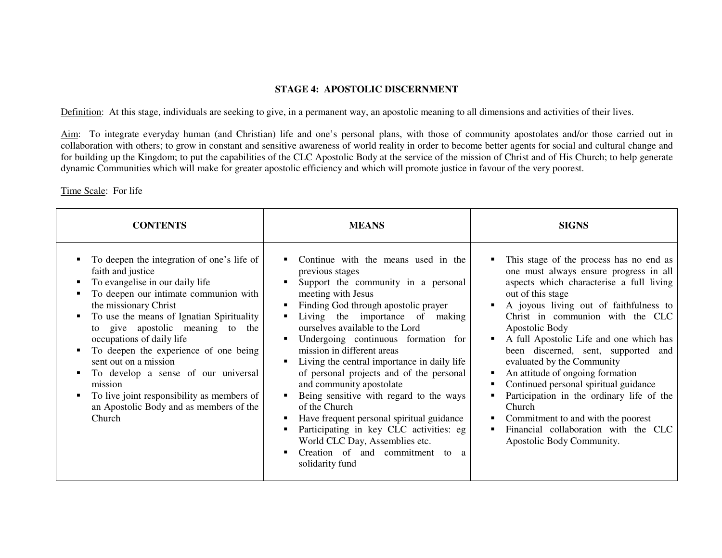#### **STAGE 4: APOSTOLIC DISCERNMENT**

Definition: At this stage, individuals are seeking to give, in a permanent way, an apostolic meaning to all dimensions and activities of their lives.

Aim: To integrate everyday human (and Christian) life and one's personal plans, with those of community apostolates and/or those carried out in collaboration with others; to grow in constant and sensitive awareness of world reality in order to become better agents for social and cultural change and for building up the Kingdom; to put the capabilities of the CLC Apostolic Body at the service of the mission of Christ and of His Church; to help generate dynamic Communities which will make for greater apostolic efficiency and which will promote justice in favour of the very poorest.

#### Time Scale: For life

| <b>CONTENTS</b>                                                                                                                                                                                                                                                                                                                                                                                                                                                                                           | <b>MEANS</b>                                                                                                                                                                                                                                                                                                                                                                                                                                                                                                                                                                                                                                                                                       | <b>SIGNS</b>                                                                                                                                                                                                                                                                                                                                                                                                                                                                                                                                                                                                                                  |
|-----------------------------------------------------------------------------------------------------------------------------------------------------------------------------------------------------------------------------------------------------------------------------------------------------------------------------------------------------------------------------------------------------------------------------------------------------------------------------------------------------------|----------------------------------------------------------------------------------------------------------------------------------------------------------------------------------------------------------------------------------------------------------------------------------------------------------------------------------------------------------------------------------------------------------------------------------------------------------------------------------------------------------------------------------------------------------------------------------------------------------------------------------------------------------------------------------------------------|-----------------------------------------------------------------------------------------------------------------------------------------------------------------------------------------------------------------------------------------------------------------------------------------------------------------------------------------------------------------------------------------------------------------------------------------------------------------------------------------------------------------------------------------------------------------------------------------------------------------------------------------------|
| To deepen the integration of one's life of<br>faith and justice<br>To evangelise in our daily life<br>To deepen our intimate communion with<br>the missionary Christ<br>To use the means of Ignatian Spirituality<br>to give apostolic meaning to the<br>occupations of daily life<br>To deepen the experience of one being<br>sent out on a mission<br>To develop a sense of our universal<br>mission<br>To live joint responsibility as members of<br>an Apostolic Body and as members of the<br>Church | Continue with the means used in the<br>٠<br>previous stages<br>Support the community in a personal<br>п<br>meeting with Jesus<br>Finding God through apostolic prayer<br>٠<br>Living the importance of making<br>ourselves available to the Lord<br>Undergoing continuous formation for<br>mission in different areas<br>Living the central importance in daily life<br>of personal projects and of the personal<br>and community apostolate<br>Being sensitive with regard to the ways<br>of the Church<br>Have frequent personal spiritual guidance<br>п<br>Participating in key CLC activities: eg<br>World CLC Day, Assemblies etc.<br>Creation of and commitment to a<br>п<br>solidarity fund | This stage of the process has no end as<br>٠<br>one must always ensure progress in all<br>aspects which characterise a full living<br>out of this stage<br>A joyous living out of faithfulness to<br>Christ in communion with the CLC<br>Apostolic Body<br>A full Apostolic Life and one which has<br>٠<br>been discerned, sent, supported<br>and<br>evaluated by the Community<br>An attitude of ongoing formation<br>٠<br>Continued personal spiritual guidance<br>Participation in the ordinary life of the<br>Church<br>Commitment to and with the poorest<br>٠<br>Financial collaboration with the CLC<br>٠<br>Apostolic Body Community. |